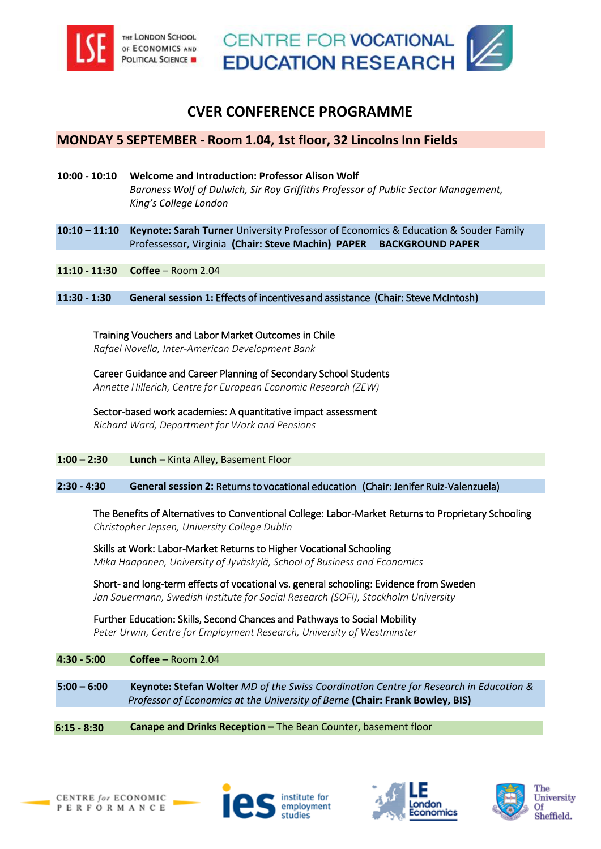



# **CVER CONFERENCE PROGRAMME**

# **MONDAY 5 SEPTEMBER - Room 1.04, 1st floor, 32 Lincolns Inn Fields**

- **10:00 10:10 Welcome and Introduction: Professor Alison Wolf**  *Baroness Wolf of Dulwich, Sir Roy Griffiths Professor of Public Sector Management, King's College London*
- **10:10 – 11:10 Keynote: Sarah Turner** [University Professor of Economics & Education & Souder Family](http://siepr.stanford.edu/research/publications/expanding-college-opportunities-high-achieving-low-income-students)  Professessor, Virginia **(Chair: Steve Machin) PAPER [BACKGROUND PAPER](http://siepr.stanford.edu/research/publications/expanding-college-opportunities-high-achieving-low-income-students)**
- **11:10 11:30 Coffee**  Room 2.04

**11:30 - 1:30 General session 1:** Effects of incentives and assistance (Chair: Steve McIntosh)

Training Vouchers and Labor Market Outcomes in Chile *Rafael Novella, Inter-American Development Bank* 

Career Guidance and Career Planning of Secondary School Students *Annette Hillerich, Centre for European Economic Research (ZEW)* 

Sector-based work academies: A quantitative impact assessment *Richard Ward, Department for Work and Pensions* 

**1:00 – 2:30 Lunch –** Kinta Alley, Basement Floor

### **2:30 - 4:30 General session 2:** Returns to vocational education (Chair: Jenifer Ruiz-Valenzuela)

[The Benefits of Alternatives to Conventional College: Labor-Market Returns to Proprietary Schooling](http://www.iza.org/en/webcontent/publications/papers/viewAbstract?dp_id=10007)  *Christopher Jepsen, University College Dublin* 

Skills at Work: Labor-Market Returns to Higher Vocational Schooling *Mika Haapanen, University of Jyväskylä, School of Business and Economics* 

Short- and long-term effects of vocational vs. general schooling: Evidence from Sweden *Jan Sauermann, Swedish Institute for Social Research (SOFI), Stockholm University*

Further Education: Skills, Second Chances and Pathways to Social Mobility *Peter Urwin, Centre for Employment Research, University of Westminster*

**4:30 - 5:00 Coffee –** Room 2.04

**5:00 – 6:00 Keynote: Stefan Wolter** *MD of the Swiss Coordination Centre for Research in Education & Professor of Economics at the University of Berne* **(Chair: Frank Bowley, BIS)**

#### **6:15 - 8:30 Canape and Drinks Reception –** The Bean Counter, basement floor